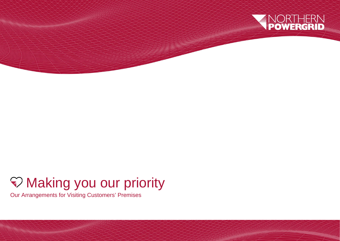

## Making you our priority

Our Arrangements for Visiting Customers' Premises